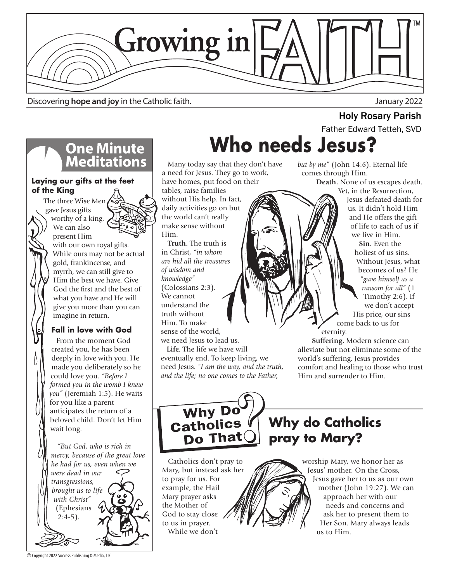

Discovering **hope and joy** in the Catholic faith. January 2022

# **One Minute<br>Meditations**

#### **Laying our gifts at the feet of the King**

 The three Wise Men gave Jesus gifts worthy of a king. We can also



present Him with our own royal gifts. While ours may not be actual gold, frankincense, and myrrh, we can still give to Him the best we have. Give God the first and the best of what you have and He will give you more than you can imagine in return.

### **Fall in love with God**

 From the moment God created you, he has been deeply in love with you. He made you deliberately so he could love you. *"Before I formed you in the womb I knew you"* (Jeremiah 1:5). He waits for you like a parent anticipates the return of a beloved child. Don't let Him wait long.

 *"But God, who is rich in mercy, because of the great love he had for us, even when we were dead in our transgressions, brought us to life with Christ"*  (Ephesians  $2:4-5$ ).

**Who needs Jesus? Holy Rosary Parish**<br>Father Edward Tetteh, SVD

 Many today say that they don't have a need for Jesus. They go to work, have homes, put food on their

tables, raise families without His help. In fact, daily activities go on but the world can't really make sense without Him.

 **Truth.** The truth is in Christ, *"in whom are hid all the treasures of wisdom and knowledge"*  (Colossians 2:3). We cannot understand the truth without Him. To make sense of the world, we need Jesus to lead us.

 **Life.** The life we have will eventually end. To keep living, we need Jesus. *"I am the way, and the truth, and the life; no one comes to the Father,* 

*but by me"* (John 14:6). Eternal life comes through Him.

 **Death.** None of us escapes death. Yet, in the Resurrection,

Jesus defeated death for us. It didn't hold Him and He offers the gift of life to each of us if we live in Him.  **Sin.** Even the

holiest of us sins. Without Jesus, what becomes of us? He *"gave himself as a ransom for all"* (1 Timothy 2:6). If we don't accept His price, our sins come back to us for

eternity.

 **Suffering.** Modern science can alleviate but not eliminate some of the world's suffering. Jesus provides comfort and healing to those who trust Him and surrender to Him.

Why Do<br>Catholics Do That

**Why do Catholics pray to Mary?**

us to Him.

 Catholics don't pray to Mary, but instead ask her to pray for us. For example, the Hail Mary prayer asks the Mother of God to stay close to us in prayer. While we don't

worship Mary, we honor her as Jesus' mother. On the Cross, Jesus gave her to us as our own mother (John 19:27). We can approach her with our needs and concerns and ask her to present them to Her Son. Mary always leads

© Copyright 2022 Success Publishing & Media, LLC